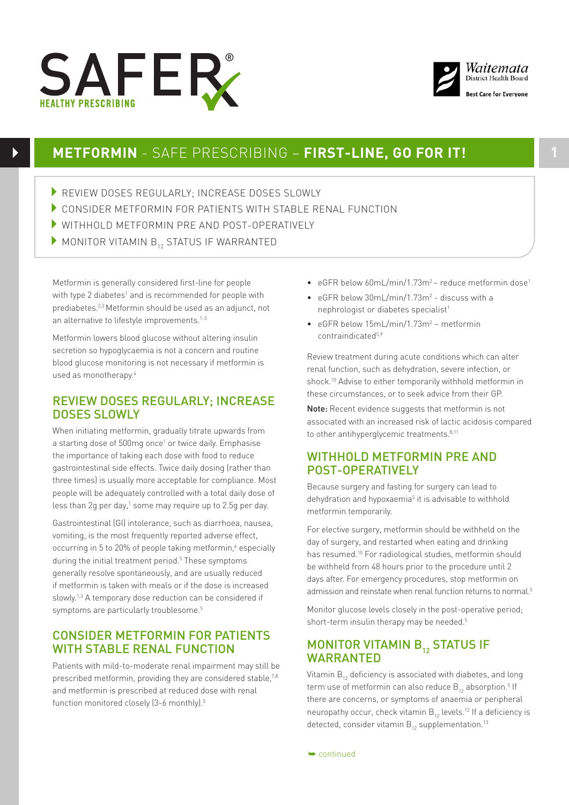



# **METFORMIN** - SAFE PRESCRIBING – **FIRST-LINE, GO FOR IT! 1**

- REVIEW DOSES REGULARLY: INCREASE DOSES SLOWLY
- 4CONSIDER METFORMIN FOR PATIENTS WITH STABLE RENAL FUNCTION
- 4WITHHOLD METFORMIN PRE AND POST-OPERATIVELY
- $\blacktriangleright$  MONITOR VITAMIN  $B_{12}$  STATUS IF WARRANTED

Metformin is generally considered first-line for people with type 2 diabetes<sup>1</sup> and is recommended for people with prediabetes.2,3 Metformin should be used as an adjunct, not an alternative to lifestyle improvements.<sup>1-3</sup>

Metformin lowers blood glucose without altering insulin secretion so hypoglycaemia is not a concern and routine blood glucose monitoring is not necessary if metformin is used as monotherapy.4

### REVIEW DOSES REGULARLY; INCREASE DOSES SLOWLY

When initiating metformin, gradually titrate upwards from a starting dose of 500mg once<sup>1</sup> or twice daily. Emphasise the importance of taking each dose with food to reduce gastrointestinal side effects. Twice daily dosing (rather than three times) is usually more acceptable for compliance. Most people will be adequately controlled with a total daily dose of less than 2g per day, $1$  some may require up to 2.5g per day.

Gastrointestinal (GI) intolerance, such as diarrhoea, nausea, vomiting, is the most frequently reported adverse effect, occurring in 5 to 20% of people taking metformin,<sup>6</sup> especially during the initial treatment period.<sup>5</sup> These symptoms generally resolve spontaneously, and are usually reduced if metformin is taken with meals or if the dose is increased slowly.<sup>1,3</sup> A temporary dose reduction can be considered if symptoms are particularly troublesome.<sup>5</sup>

## CONSIDER METFORMIN FOR PATIENTS WITH STABLE RENAL FUNCTION

Patients with mild-to-moderate renal impairment may still be prescribed metformin, providing they are considered stable,<sup>7,8</sup> and metformin is prescribed at reduced dose with renal function monitored closely (3-6 monthly).<sup>5</sup>

- eGFR below 60mL/min/1.73m<sup>2</sup> reduce metformin dose<sup>1</sup>
- eGFR below 30mL/min/1.73m<sup>2</sup> discuss with a nephrologist or diabetes specialist<sup>1</sup>
- eGFR below 15mL/min/1.73m<sup>2</sup> metformin contraindicated5,9

Review treatment during acute conditions which can alter renal function, such as dehydration, severe infection, or shock.10 Advise to either temporarily withhold metformin in these circumstances, or to seek advice from their GP.

Note: Recent evidence suggests that metformin is not associated with an increased risk of lactic acidosis compared to other antihyperglycemic treatments.<sup>8,11</sup>

## WITHHOLD METEORMIN PRE AND POST-OPERATIVELY

Because surgery and fasting for surgery can lead to dehydration and hypoxaemia<sup>5</sup> it is advisable to withhold metformin temporarily.

For elective surgery, metformin should be withheld on the day of surgery, and restarted when eating and drinking has resumed.<sup>10</sup> For radiological studies, metformin should be withheld from 48 hours prior to the procedure until 2 days after. For emergency procedures, stop metformin on admission and reinstate when renal function returns to normal.<sup>5</sup>

Monitor glucose levels closely in the post-operative period; short-term insulin therapy may be needed.<sup>5</sup>

# MONITOR VITAMIN B<sub>12</sub> STATUS IF WARRANTED

Vitamin  $B_{12}$  deficiency is associated with diabetes, and long term use of metformin can also reduce  $\mathsf{B}_{_{12}}$  absorption. $^5$  If there are concerns, or symptoms of anaemia or peripheral neuropathy occur, check vitamin  $B_{12}$  levels.<sup>12</sup> If a deficiency is detected, consider vitamin  $B_{12}$  supplementation.<sup>13</sup>